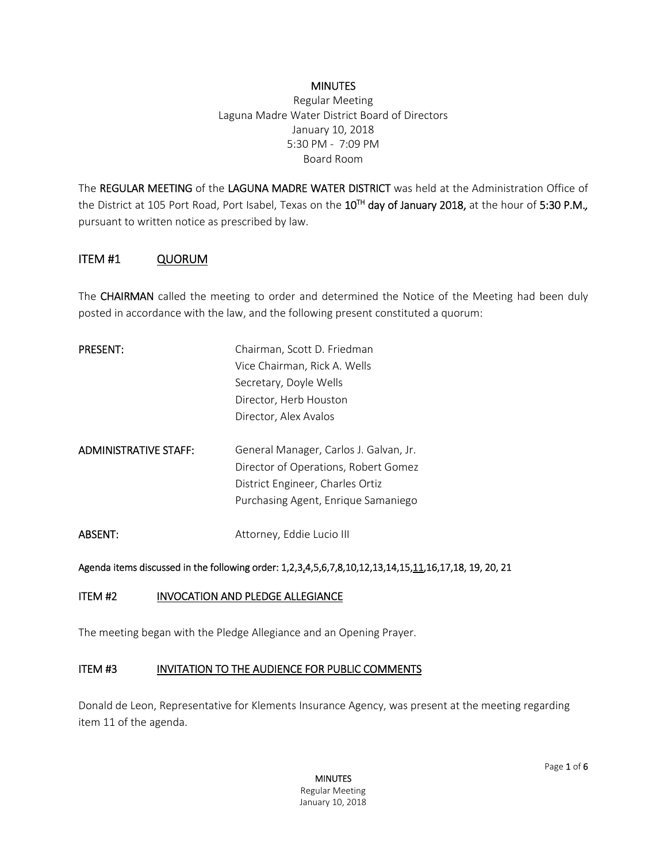#### **MINUTES**

Regular Meeting Laguna Madre Water District Board of Directors January 10, 2018 5:30 PM - 7:09 PM Board Room

The REGULAR MEETING of the LAGUNA MADRE WATER DISTRICT was held at the Administration Office of the District at 105 Port Road, Port Isabel, Texas on the 10TH day of January 2018, at the hour of 5:30 P.M.*,* pursuant to written notice as prescribed by law.

## ITEM #1 QUORUM

The CHAIRMAN called the meeting to order and determined the Notice of the Meeting had been duly posted in accordance with the law, and the following present constituted a quorum:

| <b>PRESENT:</b>       | Chairman, Scott D. Friedman            |
|-----------------------|----------------------------------------|
|                       | Vice Chairman, Rick A. Wells           |
|                       | Secretary, Doyle Wells                 |
|                       | Director, Herb Houston                 |
|                       | Director, Alex Avalos                  |
| ADMINISTRATIVE STAFF: | General Manager, Carlos J. Galvan, Jr. |
|                       | Director of Operations, Robert Gomez   |
|                       | District Engineer, Charles Ortiz       |
|                       | Purchasing Agent, Enrique Samaniego    |
| ABSENT:               | Attorney, Eddie Lucio III              |

#### Agenda items discussed in the following order: 1,2,3,4,5,6,7,8,10,12,13,14,15,11,16,17,18, 19, 20, 21

#### ITEM #2 INVOCATION AND PLEDGE ALLEGIANCE

The meeting began with the Pledge Allegiance and an Opening Prayer.

#### ITEM #3 INVITATION TO THE AUDIENCE FOR PUBLIC COMMENTS

Donald de Leon, Representative for Klements Insurance Agency, was present at the meeting regarding item 11 of the agenda.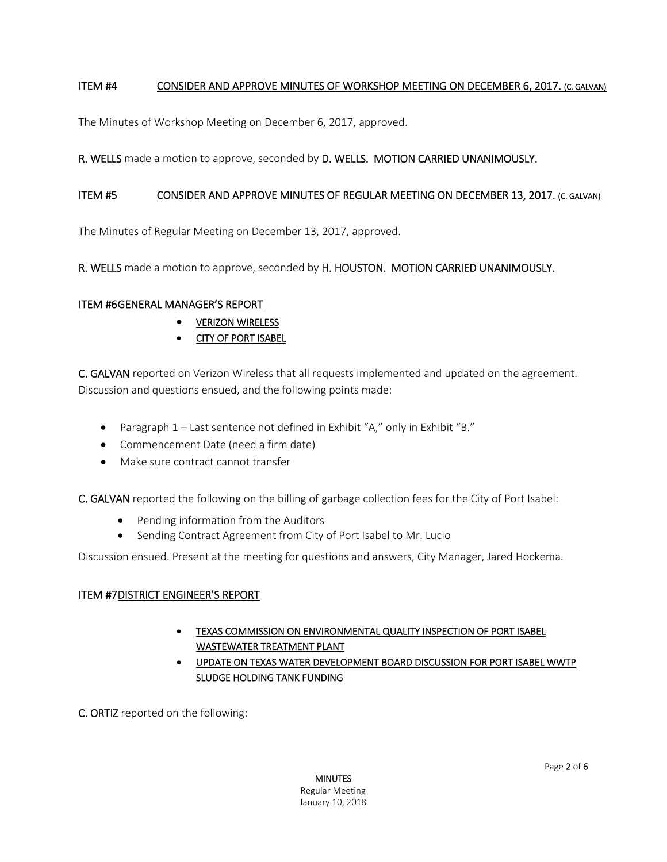## ITEM #4 CONSIDER AND APPROVE MINUTES OF WORKSHOP MEETING ON DECEMBER 6, 2017. (C. GALVAN)

The Minutes of Workshop Meeting on December 6, 2017, approved.

## R. WELLS made a motion to approve, seconded by D. WELLS. MOTION CARRIED UNANIMOUSLY.

### ITEM #5 CONSIDER AND APPROVE MINUTES OF REGULAR MEETING ON DECEMBER 13, 2017. (C. GALVAN)

The Minutes of Regular Meeting on December 13, 2017, approved.

R. WELLS made a motion to approve, seconded by H. HOUSTON. MOTION CARRIED UNANIMOUSLY.

#### ITEM #6 GENERAL MANAGER'S REPORT

- **VERIZON WIRELESS**
- **CITY OF PORT ISABEL**

C. GALVAN reported on Verizon Wireless that all requests implemented and updated on the agreement. Discussion and questions ensued, and the following points made:

- Paragraph 1 Last sentence not defined in Exhibit "A," only in Exhibit "B."
- Commencement Date (need a firm date)
- Make sure contract cannot transfer

C. GALVAN reported the following on the billing of garbage collection fees for the City of Port Isabel:

- Pending information from the Auditors
- Sending Contract Agreement from City of Port Isabel to Mr. Lucio

Discussion ensued. Present at the meeting for questions and answers, City Manager, Jared Hockema.

## ITEM #7 DISTRICT ENGINEER'S REPORT

- TEXAS COMMISSION ON ENVIRONMENTAL QUALITY INSPECTION OF PORT ISABEL WASTEWATER TREATMENT PLANT
- UPDATE ON TEXAS WATER DEVELOPMENT BOARD DISCUSSION FOR PORT ISABEL WWTP SLUDGE HOLDING TANK FUNDING

C. ORTIZ reported on the following: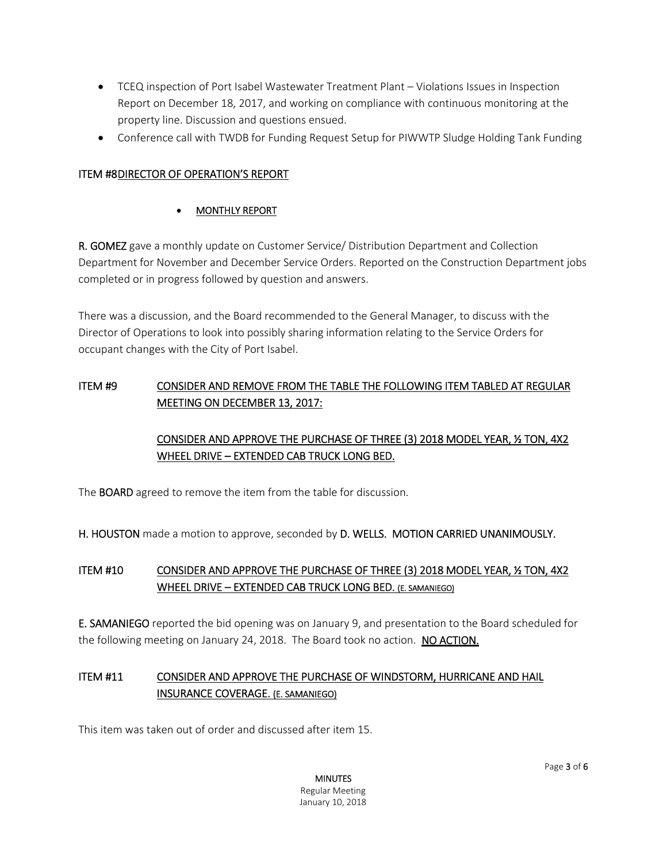- TCEQ inspection of Port Isabel Wastewater Treatment Plant Violations Issues in Inspection Report on December 18, 2017, and working on compliance with continuous monitoring at the property line. Discussion and questions ensued.
- Conference call with TWDB for Funding Request Setup for PIWWTP Sludge Holding Tank Funding

## ITEM #8 DIRECTOR OF OPERATION'S REPORT

## MONTHLY REPORT

R. GOMEZ gave a monthly update on Customer Service/ Distribution Department and Collection Department for November and December Service Orders. Reported on the Construction Department jobs completed or in progress followed by question and answers.

There was a discussion, and the Board recommended to the General Manager, to discuss with the Director of Operations to look into possibly sharing information relating to the Service Orders for occupant changes with the City of Port Isabel.

# ITEM #9 CONSIDER AND REMOVE FROM THE TABLE THE FOLLOWING ITEM TABLED AT REGULAR MEETING ON DECEMBER 13, 2017:

# CONSIDER AND APPROVE THE PURCHASE OF THREE (3) 2018 MODEL YEAR, ½ TON, 4X2 WHEEL DRIVE – EXTENDED CAB TRUCK LONG BED.

The BOARD agreed to remove the item from the table for discussion.

H. HOUSTON made a motion to approve, seconded by D. WELLS. MOTION CARRIED UNANIMOUSLY.

## ITEM #10 CONSIDER AND APPROVE THE PURCHASE OF THREE (3) 2018 MODEL YEAR, ½ TON, 4X2 WHEEL DRIVE – EXTENDED CAB TRUCK LONG BED. (E. SAMANIEGO)

E. SAMANIEGO reported the bid opening was on January 9, and presentation to the Board scheduled for the following meeting on January 24, 2018. The Board took no action. NO ACTION.

# ITEM #11 CONSIDER AND APPROVE THE PURCHASE OF WINDSTORM, HURRICANE AND HAIL INSURANCE COVERAGE. (E. SAMANIEGO)

This item was taken out of order and discussed after item 15.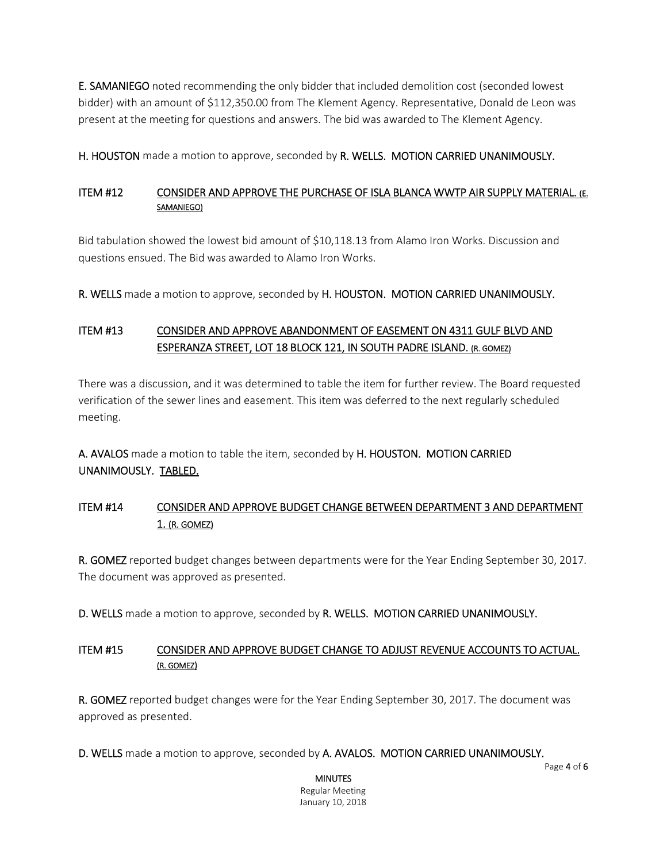E. SAMANIEGO noted recommending the only bidder that included demolition cost (seconded lowest bidder) with an amount of \$112,350.00 from The Klement Agency. Representative, Donald de Leon was present at the meeting for questions and answers. The bid was awarded to The Klement Agency.

H. HOUSTON made a motion to approve, seconded by R. WELLS. MOTION CARRIED UNANIMOUSLY.

## ITEM #12 CONSIDER AND APPROVE THE PURCHASE OF ISLA BLANCA WWTP AIR SUPPLY MATERIAL. (E. SAMANIEGO)

Bid tabulation showed the lowest bid amount of \$10,118.13 from Alamo Iron Works. Discussion and questions ensued. The Bid was awarded to Alamo Iron Works.

R. WELLS made a motion to approve, seconded by H. HOUSTON. MOTION CARRIED UNANIMOUSLY.

# ITEM #13 CONSIDER AND APPROVE ABANDONMENT OF EASEMENT ON 4311 GULF BLVD AND ESPERANZA STREET, LOT 18 BLOCK 121, IN SOUTH PADRE ISLAND. (R. GOMEZ)

There was a discussion, and it was determined to table the item for further review. The Board requested verification of the sewer lines and easement. This item was deferred to the next regularly scheduled meeting.

A. AVALOS made a motion to table the item, seconded by H. HOUSTON. MOTION CARRIED UNANIMOUSLY. TABLED.

## ITEM #14 CONSIDER AND APPROVE BUDGET CHANGE BETWEEN DEPARTMENT 3 AND DEPARTMENT 1. (R. GOMEZ)

R. GOMEZ reported budget changes between departments were for the Year Ending September 30, 2017. The document was approved as presented.

D. WELLS made a motion to approve, seconded by R. WELLS. MOTION CARRIED UNANIMOUSLY.

## ITEM #15 CONSIDER AND APPROVE BUDGET CHANGE TO ADJUST REVENUE ACCOUNTS TO ACTUAL. (R. GOMEZ)

R. GOMEZ reported budget changes were for the Year Ending September 30, 2017. The document was approved as presented.

D. WELLS made a motion to approve, seconded by A. AVALOS. MOTION CARRIED UNANIMOUSLY.

Page 4 of 6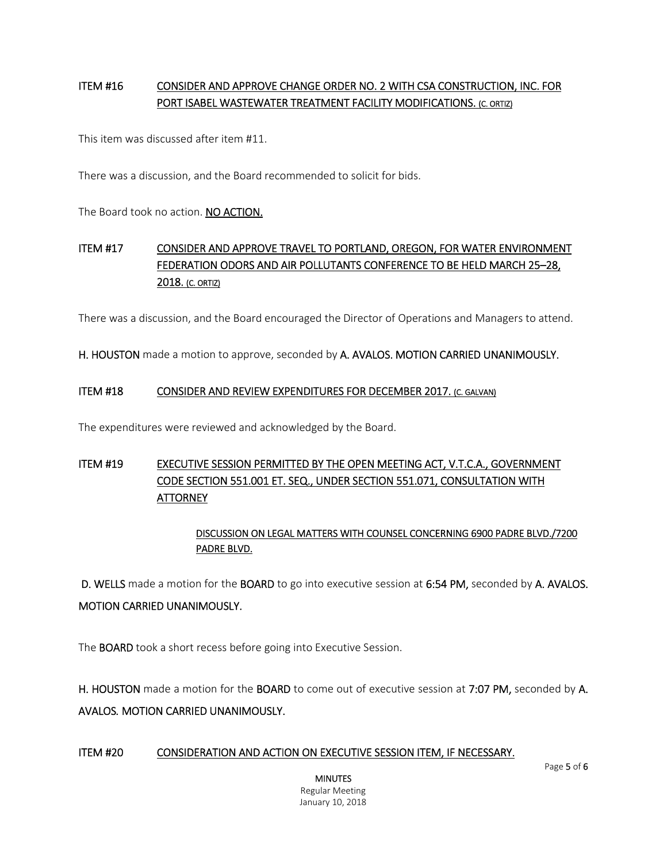# ITEM #16 CONSIDER AND APPROVE CHANGE ORDER NO. 2 WITH CSA CONSTRUCTION, INC. FOR PORT ISABEL WASTEWATER TREATMENT FACILITY MODIFICATIONS. (C. ORTIZ)

This item was discussed after item #11.

There was a discussion, and the Board recommended to solicit for bids.

The Board took no action. NO ACTION.

# ITEM #17 CONSIDER AND APPROVE TRAVEL TO PORTLAND, OREGON, FOR WATER ENVIRONMENT FEDERATION ODORS AND AIR POLLUTANTS CONFERENCE TO BE HELD MARCH 25–28, 2018. (C. ORTIZ)

There was a discussion, and the Board encouraged the Director of Operations and Managers to attend.

H. HOUSTON made a motion to approve, seconded by A. AVALOS. MOTION CARRIED UNANIMOUSLY.

#### ITEM #18 CONSIDER AND REVIEW EXPENDITURES FOR DECEMBER 2017. (C. GALVAN)

The expenditures were reviewed and acknowledged by the Board.

# ITEM #19 EXECUTIVE SESSION PERMITTED BY THE OPEN MEETING ACT, V.T.C.A., GOVERNMENT CODE SECTION 551.001 ET. SEQ., UNDER SECTION 551.071, CONSULTATION WITH **ATTORNEY**

## DISCUSSION ON LEGAL MATTERS WITH COUNSEL CONCERNING 6900 PADRE BLVD./7200 PADRE BLVD.

D. WELLS made a motion for the BOARD to go into executive session at 6:54 PM, seconded by A. AVALOS.

#### MOTION CARRIED UNANIMOUSLY.

The BOARD took a short recess before going into Executive Session.

H. HOUSTON made a motion for the BOARD to come out of executive session at 7:07 PM, seconded by A. AVALOS*.* MOTION CARRIED UNANIMOUSLY.

#### ITEM #20 CONSIDERATION AND ACTION ON EXECUTIVE SESSION ITEM, IF NECESSARY.

Page 5 of 6